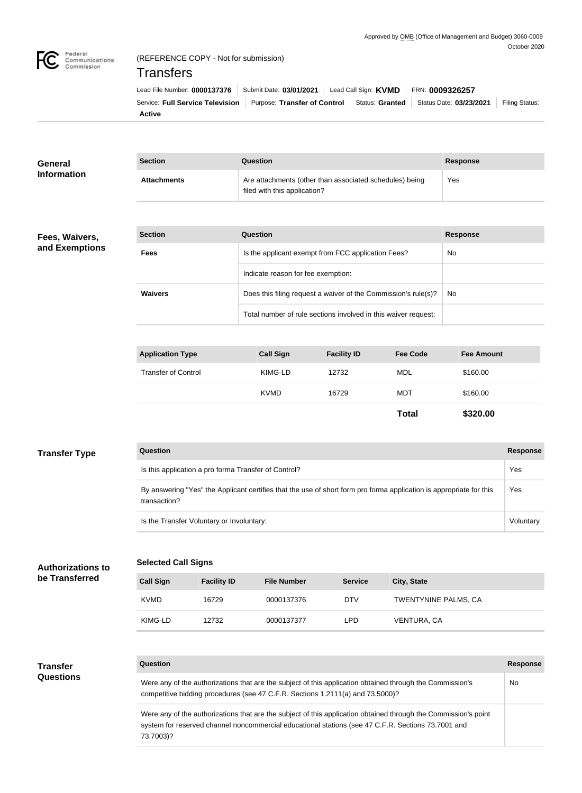

# (REFERENCE COPY - Not for submission)

# **Transfers**

| Lead File Number: 0000137376   Submit Date: 03/01/2021   Lead Call Sign: KVMD   FRN: 0009326257                              |  |  |  |
|------------------------------------------------------------------------------------------------------------------------------|--|--|--|
| Service: Full Service Television   Purpose: Transfer of Control   Status: Granted   Status Date: 03/23/2021   Filing Status: |  |  |  |
| <b>Active</b>                                                                                                                |  |  |  |

| <b>General</b>           | <b>Section</b><br><b>Question</b><br><b>Response</b>                                                                                                                                                                  |                    |                                                                                         |                    |                      |                   |                 |  |
|--------------------------|-----------------------------------------------------------------------------------------------------------------------------------------------------------------------------------------------------------------------|--------------------|-----------------------------------------------------------------------------------------|--------------------|----------------------|-------------------|-----------------|--|
| <b>Information</b>       | <b>Attachments</b>                                                                                                                                                                                                    |                    | Are attachments (other than associated schedules) being<br>filed with this application? |                    |                      | Yes               |                 |  |
|                          |                                                                                                                                                                                                                       |                    |                                                                                         |                    |                      |                   |                 |  |
| Fees, Waivers,           | <b>Section</b>                                                                                                                                                                                                        |                    | <b>Question</b>                                                                         |                    |                      | <b>Response</b>   |                 |  |
| and Exemptions           | <b>Fees</b>                                                                                                                                                                                                           |                    | Is the applicant exempt from FCC application Fees?                                      |                    |                      | No                |                 |  |
|                          |                                                                                                                                                                                                                       |                    | Indicate reason for fee exemption:                                                      |                    |                      |                   |                 |  |
|                          | <b>Waivers</b>                                                                                                                                                                                                        |                    | Does this filing request a waiver of the Commission's rule(s)?                          |                    |                      | No                |                 |  |
|                          |                                                                                                                                                                                                                       |                    | Total number of rule sections involved in this waiver request:                          |                    |                      |                   |                 |  |
|                          |                                                                                                                                                                                                                       |                    |                                                                                         |                    |                      |                   |                 |  |
|                          | <b>Application Type</b>                                                                                                                                                                                               |                    | <b>Call Sign</b>                                                                        | <b>Facility ID</b> | <b>Fee Code</b>      | <b>Fee Amount</b> |                 |  |
|                          | <b>Transfer of Control</b>                                                                                                                                                                                            |                    | KIMG-LD                                                                                 | 12732              | <b>MDL</b>           | \$160.00          |                 |  |
|                          |                                                                                                                                                                                                                       |                    | <b>KVMD</b>                                                                             | 16729              | <b>MDT</b>           | \$160.00          |                 |  |
|                          |                                                                                                                                                                                                                       |                    |                                                                                         |                    | <b>Total</b>         | \$320.00          |                 |  |
|                          |                                                                                                                                                                                                                       |                    |                                                                                         |                    |                      |                   |                 |  |
| <b>Transfer Type</b>     | Question                                                                                                                                                                                                              |                    |                                                                                         |                    |                      |                   | <b>Response</b> |  |
|                          | Is this application a pro forma Transfer of Control?                                                                                                                                                                  |                    |                                                                                         |                    |                      |                   |                 |  |
|                          | By answering "Yes" the Applicant certifies that the use of short form pro forma application is appropriate for this<br>transaction?                                                                                   |                    |                                                                                         |                    |                      |                   |                 |  |
|                          | Is the Transfer Voluntary or Involuntary:                                                                                                                                                                             |                    |                                                                                         |                    |                      |                   |                 |  |
|                          |                                                                                                                                                                                                                       |                    |                                                                                         |                    |                      |                   |                 |  |
| <b>Authorizations to</b> | <b>Selected Call Signs</b>                                                                                                                                                                                            |                    |                                                                                         |                    |                      |                   |                 |  |
| be Transferred           | <b>Call Sign</b>                                                                                                                                                                                                      | <b>Facility ID</b> | <b>File Number</b>                                                                      | <b>Service</b>     | City, State          |                   |                 |  |
|                          | <b>KVMD</b>                                                                                                                                                                                                           | 16729              | 0000137376                                                                              | <b>DTV</b>         | TWENTYNINE PALMS, CA |                   |                 |  |
|                          | KIMG-LD                                                                                                                                                                                                               | 12732              | 0000137377                                                                              | <b>LPD</b>         | VENTURA, CA          |                   |                 |  |
|                          |                                                                                                                                                                                                                       |                    |                                                                                         |                    |                      |                   |                 |  |
| <b>Transfer</b>          | Question                                                                                                                                                                                                              |                    |                                                                                         |                    |                      |                   | <b>Response</b> |  |
| <b>Questions</b>         | Were any of the authorizations that are the subject of this application obtained through the Commission's<br>competitive bidding procedures (see 47 C.F.R. Sections 1.2111(a) and 73.5000)?                           |                    |                                                                                         |                    |                      |                   |                 |  |
|                          | Were any of the authorizations that are the subject of this application obtained through the Commission's point<br>system for reserved channel noncommercial educational stations (see 47 C.F.R. Sections 73.7001 and |                    |                                                                                         |                    |                      |                   |                 |  |

73.7003)?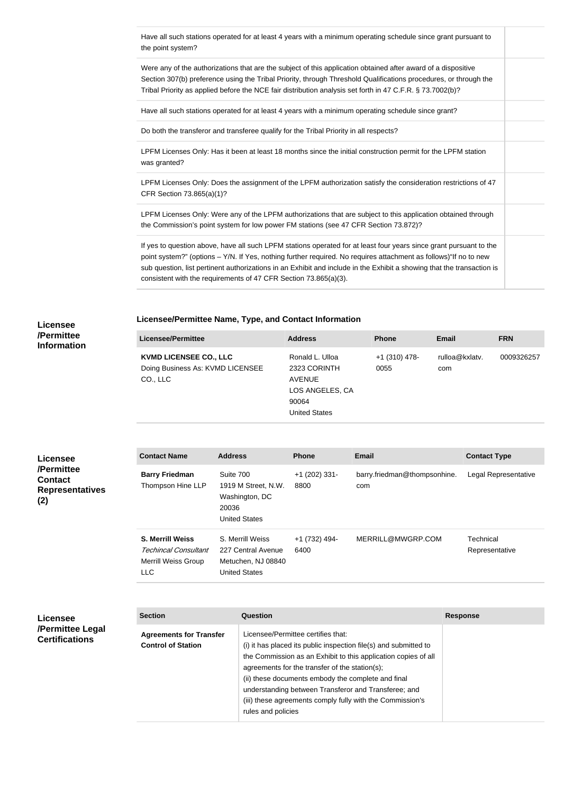| the point system?         | Have all such stations operated for at least 4 years with a minimum operating schedule since grant pursuant to                                                                                                                                                                                                                                                                                                                       |  |
|---------------------------|--------------------------------------------------------------------------------------------------------------------------------------------------------------------------------------------------------------------------------------------------------------------------------------------------------------------------------------------------------------------------------------------------------------------------------------|--|
|                           | Were any of the authorizations that are the subject of this application obtained after award of a dispositive<br>Section 307(b) preference using the Tribal Priority, through Threshold Qualifications procedures, or through the<br>Tribal Priority as applied before the NCE fair distribution analysis set forth in 47 C.F.R. § 73.7002(b)?                                                                                       |  |
|                           | Have all such stations operated for at least 4 years with a minimum operating schedule since grant?                                                                                                                                                                                                                                                                                                                                  |  |
|                           | Do both the transferor and transferee qualify for the Tribal Priority in all respects?                                                                                                                                                                                                                                                                                                                                               |  |
| was granted?              | LPFM Licenses Only: Has it been at least 18 months since the initial construction permit for the LPFM station                                                                                                                                                                                                                                                                                                                        |  |
| CFR Section 73.865(a)(1)? | LPFM Licenses Only: Does the assignment of the LPFM authorization satisfy the consideration restrictions of 47                                                                                                                                                                                                                                                                                                                       |  |
|                           | LPFM Licenses Only: Were any of the LPFM authorizations that are subject to this application obtained through<br>the Commission's point system for low power FM stations (see 47 CFR Section 73.872)?                                                                                                                                                                                                                                |  |
|                           | If yes to question above, have all such LPFM stations operated for at least four years since grant pursuant to the<br>point system?" (options - Y/N. If Yes, nothing further required. No requires attachment as follows)"If no to new<br>sub question, list pertinent authorizations in an Exhibit and include in the Exhibit a showing that the transaction is<br>consistent with the requirements of 47 CFR Section 73.865(a)(3). |  |

### **Licensee/Permittee Name, Type, and Contact Information**

| Licensee/Permittee                                                            | <b>Address</b>                                                                                       | <b>Phone</b>            | Email                 | <b>FRN</b> |
|-------------------------------------------------------------------------------|------------------------------------------------------------------------------------------------------|-------------------------|-----------------------|------------|
| <b>KVMD LICENSEE CO., LLC</b><br>Doing Business As: KVMD LICENSEE<br>CO., LLC | Ronald L. Ulloa<br>2323 CORINTH<br><b>AVENUE</b><br>LOS ANGELES, CA<br>90064<br><b>United States</b> | $+1$ (310) 478-<br>0055 | rulloa@kxlatv.<br>com | 0009326257 |

**Licensee /Permittee Contact Representatives (2)**

**Licensee /Permittee Information**

| <b>Contact Name</b>                                                                         | <b>Address</b>                                                                      | <b>Phone</b>            | <b>Email</b>                        | <b>Contact Type</b>         |
|---------------------------------------------------------------------------------------------|-------------------------------------------------------------------------------------|-------------------------|-------------------------------------|-----------------------------|
| <b>Barry Friedman</b><br>Thompson Hine LLP                                                  | Suite 700<br>1919 M Street, N.W.<br>Washington, DC<br>20036<br><b>United States</b> | $+1$ (202) 331-<br>8800 | barry.friedman@thompsonhine.<br>com | Legal Representative        |
| <b>S. Merrill Weiss</b><br>Techincal Consultant<br><b>Merrill Weiss Group</b><br><b>LLC</b> | S. Merrill Weiss<br>227 Central Avenue<br>Metuchen, NJ 08840<br>United States       | +1 (732) 494-<br>6400   | MERRILL@MWGRP.COM                   | Technical<br>Representative |

| <b>Licensee</b>                           | <b>Section</b>                                              | Question                                                                                                                                                                                                                                                                                                                                                                                                                    | <b>Response</b> |
|-------------------------------------------|-------------------------------------------------------------|-----------------------------------------------------------------------------------------------------------------------------------------------------------------------------------------------------------------------------------------------------------------------------------------------------------------------------------------------------------------------------------------------------------------------------|-----------------|
| /Permittee Legal<br><b>Certifications</b> | <b>Agreements for Transfer</b><br><b>Control of Station</b> | Licensee/Permittee certifies that:<br>(i) it has placed its public inspection file(s) and submitted to<br>the Commission as an Exhibit to this application copies of all<br>agreements for the transfer of the station(s);<br>(ii) these documents embody the complete and final<br>understanding between Transferor and Transferee; and<br>(iii) these agreements comply fully with the Commission's<br>rules and policies |                 |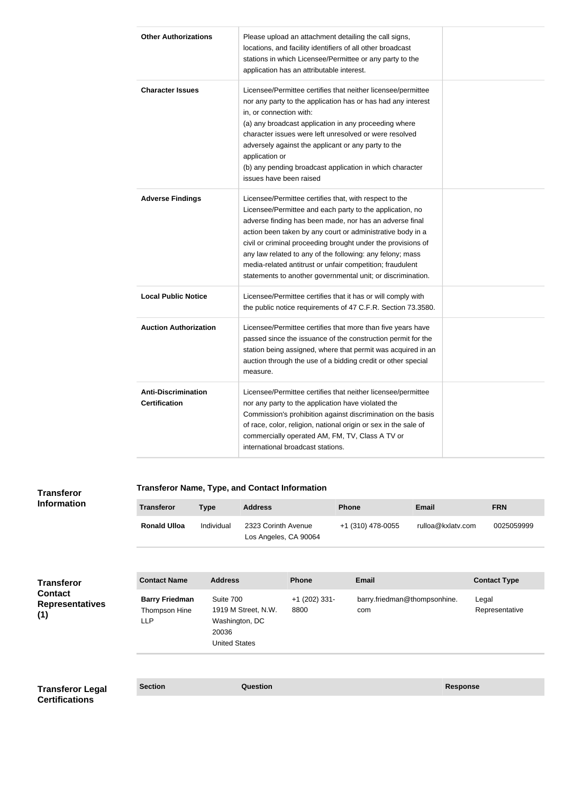| <b>Other Authorizations</b>                        | Please upload an attachment detailing the call signs,<br>locations, and facility identifiers of all other broadcast<br>stations in which Licensee/Permittee or any party to the<br>application has an attributable interest.                                                                                                                                                                                                                                                                         |  |
|----------------------------------------------------|------------------------------------------------------------------------------------------------------------------------------------------------------------------------------------------------------------------------------------------------------------------------------------------------------------------------------------------------------------------------------------------------------------------------------------------------------------------------------------------------------|--|
| <b>Character Issues</b>                            | Licensee/Permittee certifies that neither licensee/permittee<br>nor any party to the application has or has had any interest<br>in, or connection with:<br>(a) any broadcast application in any proceeding where<br>character issues were left unresolved or were resolved<br>adversely against the applicant or any party to the<br>application or<br>(b) any pending broadcast application in which character<br>issues have been raised                                                           |  |
| <b>Adverse Findings</b>                            | Licensee/Permittee certifies that, with respect to the<br>Licensee/Permittee and each party to the application, no<br>adverse finding has been made, nor has an adverse final<br>action been taken by any court or administrative body in a<br>civil or criminal proceeding brought under the provisions of<br>any law related to any of the following: any felony; mass<br>media-related antitrust or unfair competition; fraudulent<br>statements to another governmental unit; or discrimination. |  |
| <b>Local Public Notice</b>                         | Licensee/Permittee certifies that it has or will comply with<br>the public notice requirements of 47 C.F.R. Section 73.3580.                                                                                                                                                                                                                                                                                                                                                                         |  |
| <b>Auction Authorization</b>                       | Licensee/Permittee certifies that more than five years have<br>passed since the issuance of the construction permit for the<br>station being assigned, where that permit was acquired in an<br>auction through the use of a bidding credit or other special<br>measure.                                                                                                                                                                                                                              |  |
| <b>Anti-Discrimination</b><br><b>Certification</b> | Licensee/Permittee certifies that neither licensee/permittee<br>nor any party to the application have violated the<br>Commission's prohibition against discrimination on the basis<br>of race, color, religion, national origin or sex in the sale of<br>commercially operated AM, FM, TV, Class A TV or<br>international broadcast stations.                                                                                                                                                        |  |

## **Transferor**

### **Transferor Name, Type, and Contact Information**

| <b>Information</b>                                            | <b>Transferor</b>                                    | <b>Type</b>                                                  | <b>Address</b>                               |                         | <b>Phone</b>                        | <b>Email</b>      | <b>FRN</b>              |
|---------------------------------------------------------------|------------------------------------------------------|--------------------------------------------------------------|----------------------------------------------|-------------------------|-------------------------------------|-------------------|-------------------------|
|                                                               | <b>Ronald Ulloa</b>                                  | Individual                                                   | 2323 Corinth Avenue<br>Los Angeles, CA 90064 |                         | +1 (310) 478-0055                   | rulloa@kxlatv.com | 0025059999              |
| Transferor<br><b>Contact</b><br><b>Representatives</b><br>(1) | <b>Contact Name</b>                                  | <b>Address</b>                                               |                                              | Phone                   | <b>Email</b>                        |                   | <b>Contact Type</b>     |
|                                                               | <b>Barry Friedman</b><br>Thompson Hine<br><b>LLP</b> | Suite 700<br>Washington, DC<br>20036<br><b>United States</b> | 1919 M Street, N.W.                          | $+1$ (202) 331-<br>8800 | barry.friedman@thompsonhine.<br>com |                   | Legal<br>Representative |
| <b>Transferor Legal</b>                                       | <b>Section</b>                                       |                                                              | <b>Question</b>                              |                         |                                     | <b>Response</b>   |                         |

**Certifications**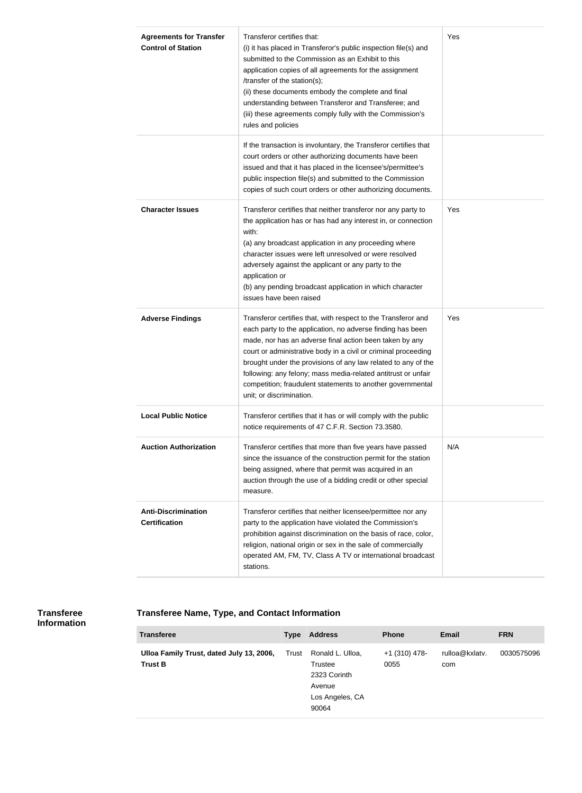| <b>Agreements for Transfer</b><br><b>Control of Station</b> | Transferor certifies that:<br>(i) it has placed in Transferor's public inspection file(s) and<br>submitted to the Commission as an Exhibit to this<br>application copies of all agreements for the assignment<br>/transfer of the station(s);<br>(ii) these documents embody the complete and final<br>understanding between Transferor and Transferee; and<br>(iii) these agreements comply fully with the Commission's<br>rules and policies                                       | Yes |
|-------------------------------------------------------------|--------------------------------------------------------------------------------------------------------------------------------------------------------------------------------------------------------------------------------------------------------------------------------------------------------------------------------------------------------------------------------------------------------------------------------------------------------------------------------------|-----|
|                                                             | If the transaction is involuntary, the Transferor certifies that<br>court orders or other authorizing documents have been<br>issued and that it has placed in the licensee's/permittee's<br>public inspection file(s) and submitted to the Commission<br>copies of such court orders or other authorizing documents.                                                                                                                                                                 |     |
| <b>Character Issues</b>                                     | Transferor certifies that neither transferor nor any party to<br>the application has or has had any interest in, or connection<br>with:<br>(a) any broadcast application in any proceeding where<br>character issues were left unresolved or were resolved<br>adversely against the applicant or any party to the<br>application or<br>(b) any pending broadcast application in which character<br>issues have been raised                                                           | Yes |
| <b>Adverse Findings</b>                                     | Transferor certifies that, with respect to the Transferor and<br>each party to the application, no adverse finding has been<br>made, nor has an adverse final action been taken by any<br>court or administrative body in a civil or criminal proceeding<br>brought under the provisions of any law related to any of the<br>following: any felony; mass media-related antitrust or unfair<br>competition; fraudulent statements to another governmental<br>unit; or discrimination. | Yes |
| <b>Local Public Notice</b>                                  | Transferor certifies that it has or will comply with the public<br>notice requirements of 47 C.F.R. Section 73.3580.                                                                                                                                                                                                                                                                                                                                                                 |     |
| <b>Auction Authorization</b>                                | Transferor certifies that more than five years have passed<br>since the issuance of the construction permit for the station<br>being assigned, where that permit was acquired in an<br>auction through the use of a bidding credit or other special<br>measure.                                                                                                                                                                                                                      | N/A |
| <b>Anti-Discrimination</b><br><b>Certification</b>          | Transferor certifies that neither licensee/permittee nor any<br>party to the application have violated the Commission's<br>prohibition against discrimination on the basis of race, color,<br>religion, national origin or sex in the sale of commercially<br>operated AM, FM, TV, Class A TV or international broadcast<br>stations.                                                                                                                                                |     |

### **Transferee Information**

## **Transferee Name, Type, and Contact Information**

| <b>Transferee</b>                                          | <b>Type</b> | <b>Address</b>                                                                    | <b>Phone</b>            | <b>Email</b>          | <b>FRN</b> |
|------------------------------------------------------------|-------------|-----------------------------------------------------------------------------------|-------------------------|-----------------------|------------|
| Ulloa Family Trust, dated July 13, 2006,<br><b>Trust B</b> | Trust       | Ronald L. Ulloa,<br>Trustee<br>2323 Corinth<br>Avenue<br>Los Angeles, CA<br>90064 | $+1$ (310) 478-<br>0055 | rulloa@kxlatv.<br>com | 0030575096 |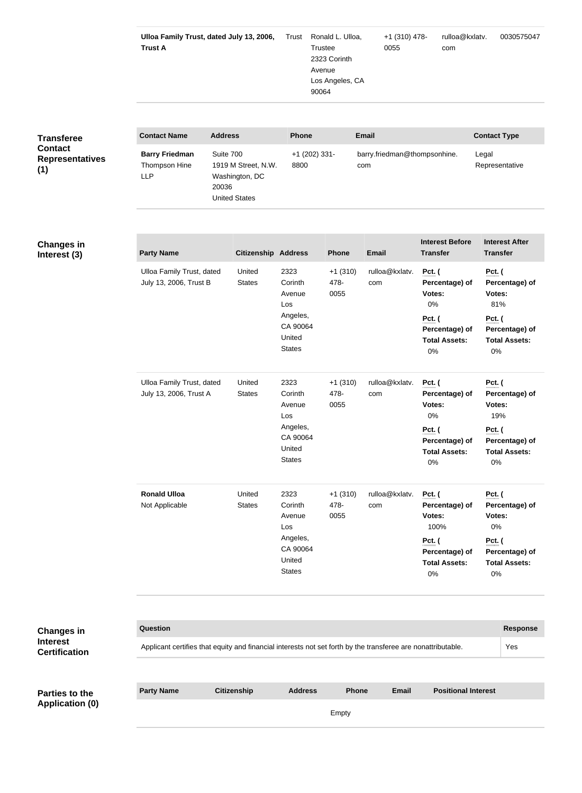|                                         | Ulloa Family Trust, dated July 13, 2006,<br><b>Trust A</b>                                                   |                                                              |                            | Trust                                                         | Ronald L. Ulloa,<br>Trustee<br>2323 Corinth<br>Avenue<br>Los Angeles, CA<br>90064 |                              | +1 (310) 478-<br>0055 |                                                               | rulloa@kxlatv.<br>com                                  |                                                                  | 0030575047                                             |
|-----------------------------------------|--------------------------------------------------------------------------------------------------------------|--------------------------------------------------------------|----------------------------|---------------------------------------------------------------|-----------------------------------------------------------------------------------|------------------------------|-----------------------|---------------------------------------------------------------|--------------------------------------------------------|------------------------------------------------------------------|--------------------------------------------------------|
|                                         |                                                                                                              |                                                              |                            |                                                               |                                                                                   |                              |                       |                                                               |                                                        |                                                                  |                                                        |
| <b>Transferee</b><br><b>Contact</b>     | <b>Contact Name</b>                                                                                          | <b>Address</b>                                               |                            | <b>Phone</b>                                                  |                                                                                   | <b>Email</b>                 |                       |                                                               |                                                        | <b>Contact Type</b>                                              |                                                        |
| <b>Representatives</b><br>(1)           | <b>Barry Friedman</b><br>Thompson Hine<br><b>LLP</b>                                                         | Suite 700<br>Washington, DC<br>20036<br><b>United States</b> | 1919 M Street, N.W.        | +1 (202) 331-<br>8800<br>com                                  |                                                                                   | barry.friedman@thompsonhine. |                       | Legal                                                         | Representative                                         |                                                                  |                                                        |
|                                         |                                                                                                              |                                                              |                            |                                                               |                                                                                   |                              |                       |                                                               |                                                        |                                                                  |                                                        |
| <b>Changes in</b><br>Interest (3)       | <b>Party Name</b>                                                                                            |                                                              | <b>Citizenship Address</b> |                                                               | <b>Phone</b>                                                                      | <b>Email</b>                 |                       | <b>Transfer</b>                                               | <b>Interest Before</b>                                 | <b>Transfer</b>                                                  | <b>Interest After</b>                                  |
|                                         | Ulloa Family Trust, dated<br>July 13, 2006, Trust B                                                          |                                                              | United<br><b>States</b>    | 2323<br>$+1(310)$<br>478-<br>Corinth<br>0055<br>Avenue<br>Los |                                                                                   | rulloa@kxlatv.<br>com        |                       | <b>Pct.</b> (<br>Percentage) of<br>Votes:<br>0%               |                                                        | <b>Pct.</b> (<br>Percentage) of<br>Votes:<br>81%                 |                                                        |
|                                         |                                                                                                              |                                                              |                            | Angeles,<br>CA 90064<br>United<br><b>States</b>               |                                                                                   |                              |                       | Pct. (<br>Percentage) of<br><b>Total Assets:</b><br>0%        |                                                        | <b>Pct.</b> (<br>Percentage) of<br><b>Total Assets:</b><br>0%    |                                                        |
|                                         | Ulloa Family Trust, dated<br>July 13, 2006, Trust A                                                          |                                                              | United<br><b>States</b>    | 2323<br>Corinth<br>Avenue<br>Los<br>Angeles,                  | $+1(310)$<br>478-<br>0055                                                         |                              | rulloa@kxlatv.<br>com | <b>Pct.</b> (<br>Percentage) of<br>Votes:<br>0%               |                                                        | <b>Pct.</b> (<br>Votes:<br>19%                                   | Percentage) of                                         |
|                                         |                                                                                                              |                                                              |                            | CA 90064<br>United<br><b>States</b>                           |                                                                                   |                              |                       |                                                               | Pct. (<br>Percentage) of<br><b>Total Assets:</b><br>0% |                                                                  | Pct. (<br>Percentage) of<br><b>Total Assets:</b><br>0% |
|                                         | <b>Ronald Ulloa</b><br>Not Applicable                                                                        |                                                              | United<br><b>States</b>    | 2323<br>Corinth<br>Avenue<br>Los                              | $+1(310)$<br>478-<br>0055                                                         | com                          | rulloa@kxlatv.        | <b>Pct.</b> (<br>Votes:<br>100%                               | Percentage) of                                         | <b>Pct.</b> (<br>Votes:<br>$0\%$                                 | Percentage) of                                         |
|                                         |                                                                                                              |                                                              |                            | Angeles,<br>CA 90064<br>United<br><b>States</b>               |                                                                                   |                              |                       | <b>Pct.</b> (<br>Percentage) of<br><b>Total Assets:</b><br>0% |                                                        | <b>Pct.</b> (<br>Percentage) of<br><b>Total Assets:</b><br>$0\%$ |                                                        |
|                                         |                                                                                                              |                                                              |                            |                                                               |                                                                                   |                              |                       |                                                               |                                                        |                                                                  |                                                        |
| <b>Changes in</b>                       | <b>Question</b>                                                                                              |                                                              |                            |                                                               |                                                                                   |                              |                       |                                                               |                                                        |                                                                  | <b>Response</b>                                        |
| <b>Interest</b><br><b>Certification</b> | Applicant certifies that equity and financial interests not set forth by the transferee are nonattributable. |                                                              |                            |                                                               |                                                                                   |                              |                       |                                                               |                                                        |                                                                  | Yes                                                    |
|                                         |                                                                                                              |                                                              |                            |                                                               |                                                                                   |                              |                       |                                                               |                                                        |                                                                  |                                                        |
| Parties to the                          | <b>Party Name</b>                                                                                            | <b>Citizenship</b>                                           |                            | <b>Address</b>                                                |                                                                                   | Phone                        | Email                 |                                                               | <b>Positional Interest</b>                             |                                                                  |                                                        |
| <b>Application (0)</b>                  |                                                                                                              |                                                              |                            |                                                               | Empty                                                                             |                              |                       |                                                               |                                                        |                                                                  |                                                        |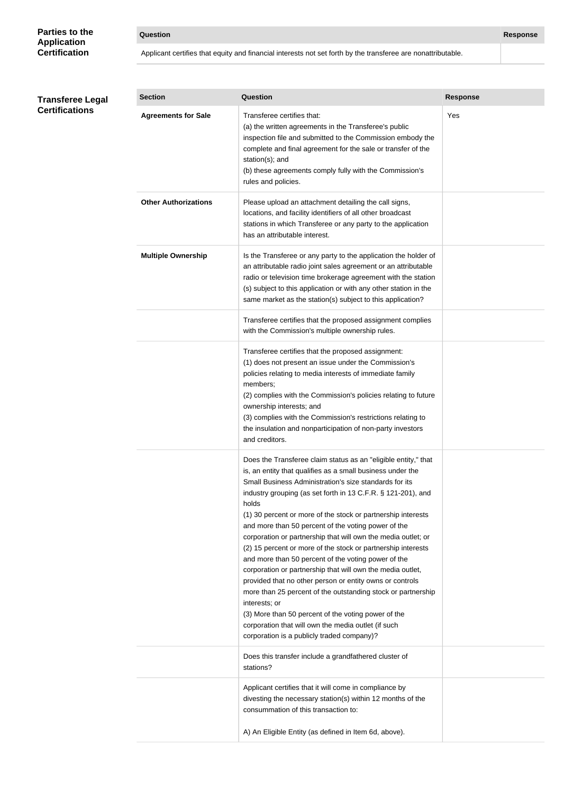### **Parties to the Application Certification**

### **Question Response**

Applicant certifies that equity and financial interests not set forth by the transferee are nonattributable.

#### **Transferee Legal Certifications**

| <b>Section</b>              | Question                                                                                                                                                                                                                                                                                                                                                                                                                                                                                                                                                                                                                                                                                                                                                                                                                                                                                                                                              | <b>Response</b> |
|-----------------------------|-------------------------------------------------------------------------------------------------------------------------------------------------------------------------------------------------------------------------------------------------------------------------------------------------------------------------------------------------------------------------------------------------------------------------------------------------------------------------------------------------------------------------------------------------------------------------------------------------------------------------------------------------------------------------------------------------------------------------------------------------------------------------------------------------------------------------------------------------------------------------------------------------------------------------------------------------------|-----------------|
| <b>Agreements for Sale</b>  | Transferee certifies that:<br>(a) the written agreements in the Transferee's public<br>inspection file and submitted to the Commission embody the<br>complete and final agreement for the sale or transfer of the<br>station(s); and<br>(b) these agreements comply fully with the Commission's<br>rules and policies.                                                                                                                                                                                                                                                                                                                                                                                                                                                                                                                                                                                                                                | Yes             |
| <b>Other Authorizations</b> | Please upload an attachment detailing the call signs,<br>locations, and facility identifiers of all other broadcast<br>stations in which Transferee or any party to the application<br>has an attributable interest.                                                                                                                                                                                                                                                                                                                                                                                                                                                                                                                                                                                                                                                                                                                                  |                 |
| <b>Multiple Ownership</b>   | Is the Transferee or any party to the application the holder of<br>an attributable radio joint sales agreement or an attributable<br>radio or television time brokerage agreement with the station<br>(s) subject to this application or with any other station in the<br>same market as the station(s) subject to this application?                                                                                                                                                                                                                                                                                                                                                                                                                                                                                                                                                                                                                  |                 |
|                             | Transferee certifies that the proposed assignment complies<br>with the Commission's multiple ownership rules.                                                                                                                                                                                                                                                                                                                                                                                                                                                                                                                                                                                                                                                                                                                                                                                                                                         |                 |
|                             | Transferee certifies that the proposed assignment:<br>(1) does not present an issue under the Commission's<br>policies relating to media interests of immediate family<br>members;<br>(2) complies with the Commission's policies relating to future<br>ownership interests; and<br>(3) complies with the Commission's restrictions relating to<br>the insulation and nonparticipation of non-party investors<br>and creditors.                                                                                                                                                                                                                                                                                                                                                                                                                                                                                                                       |                 |
|                             | Does the Transferee claim status as an "eligible entity," that<br>is, an entity that qualifies as a small business under the<br>Small Business Administration's size standards for its<br>industry grouping (as set forth in 13 C.F.R. § 121-201), and<br>holds<br>(1) 30 percent or more of the stock or partnership interests<br>and more than 50 percent of the voting power of the<br>corporation or partnership that will own the media outlet; or<br>(2) 15 percent or more of the stock or partnership interests<br>and more than 50 percent of the voting power of the<br>corporation or partnership that will own the media outlet,<br>provided that no other person or entity owns or controls<br>more than 25 percent of the outstanding stock or partnership<br>interests; or<br>(3) More than 50 percent of the voting power of the<br>corporation that will own the media outlet (if such<br>corporation is a publicly traded company)? |                 |
|                             | Does this transfer include a grandfathered cluster of<br>stations?                                                                                                                                                                                                                                                                                                                                                                                                                                                                                                                                                                                                                                                                                                                                                                                                                                                                                    |                 |
|                             | Applicant certifies that it will come in compliance by<br>divesting the necessary station(s) within 12 months of the<br>consummation of this transaction to:                                                                                                                                                                                                                                                                                                                                                                                                                                                                                                                                                                                                                                                                                                                                                                                          |                 |
|                             | A) An Eligible Entity (as defined in Item 6d, above).                                                                                                                                                                                                                                                                                                                                                                                                                                                                                                                                                                                                                                                                                                                                                                                                                                                                                                 |                 |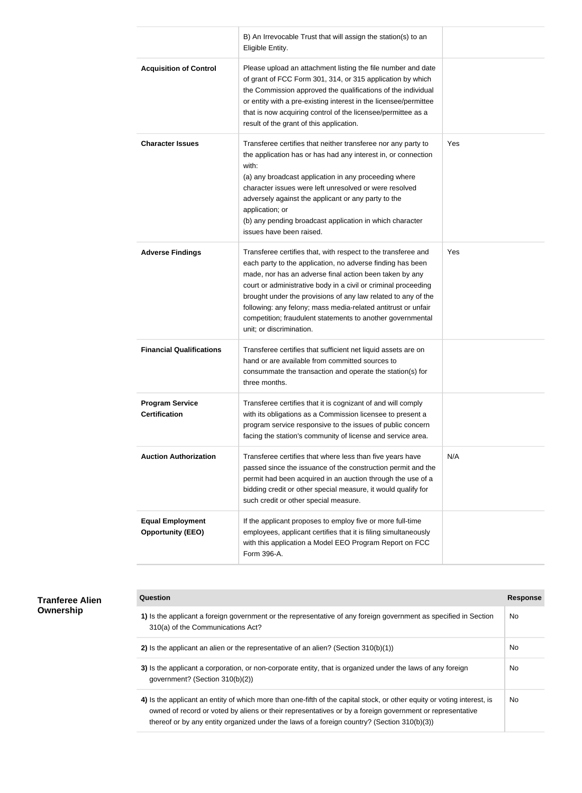|                                                     | B) An Irrevocable Trust that will assign the station(s) to an<br>Eligible Entity.                                                                                                                                                                                                                                                                                                                                                                                                    |     |
|-----------------------------------------------------|--------------------------------------------------------------------------------------------------------------------------------------------------------------------------------------------------------------------------------------------------------------------------------------------------------------------------------------------------------------------------------------------------------------------------------------------------------------------------------------|-----|
| <b>Acquisition of Control</b>                       | Please upload an attachment listing the file number and date<br>of grant of FCC Form 301, 314, or 315 application by which<br>the Commission approved the qualifications of the individual<br>or entity with a pre-existing interest in the licensee/permittee<br>that is now acquiring control of the licensee/permittee as a<br>result of the grant of this application.                                                                                                           |     |
| <b>Character Issues</b>                             | Transferee certifies that neither transferee nor any party to<br>the application has or has had any interest in, or connection<br>with:<br>(a) any broadcast application in any proceeding where<br>character issues were left unresolved or were resolved<br>adversely against the applicant or any party to the<br>application; or<br>(b) any pending broadcast application in which character<br>issues have been raised.                                                         | Yes |
| <b>Adverse Findings</b>                             | Transferee certifies that, with respect to the transferee and<br>each party to the application, no adverse finding has been<br>made, nor has an adverse final action been taken by any<br>court or administrative body in a civil or criminal proceeding<br>brought under the provisions of any law related to any of the<br>following: any felony; mass media-related antitrust or unfair<br>competition; fraudulent statements to another governmental<br>unit; or discrimination. | Yes |
| <b>Financial Qualifications</b>                     | Transferee certifies that sufficient net liquid assets are on<br>hand or are available from committed sources to<br>consummate the transaction and operate the station(s) for<br>three months.                                                                                                                                                                                                                                                                                       |     |
| <b>Program Service</b><br><b>Certification</b>      | Transferee certifies that it is cognizant of and will comply<br>with its obligations as a Commission licensee to present a<br>program service responsive to the issues of public concern<br>facing the station's community of license and service area.                                                                                                                                                                                                                              |     |
| <b>Auction Authorization</b>                        | Transferee certifies that where less than five years have<br>passed since the issuance of the construction permit and the<br>permit had been acquired in an auction through the use of a<br>bidding credit or other special measure, it would qualify for<br>such credit or other special measure.                                                                                                                                                                                   | N/A |
| <b>Equal Employment</b><br><b>Opportunity (EEO)</b> | If the applicant proposes to employ five or more full-time<br>employees, applicant certifies that it is filing simultaneously<br>with this application a Model EEO Program Report on FCC<br>Form 396-A.                                                                                                                                                                                                                                                                              |     |

| <b>Tranferee Alien</b> |
|------------------------|
| Ownership              |

| Question                                                                                                                                                                                                                                                                                                                           | <b>Response</b> |
|------------------------------------------------------------------------------------------------------------------------------------------------------------------------------------------------------------------------------------------------------------------------------------------------------------------------------------|-----------------|
| 1) Is the applicant a foreign government or the representative of any foreign government as specified in Section<br>310(a) of the Communications Act?                                                                                                                                                                              | No.             |
| 2) Is the applicant an alien or the representative of an alien? (Section $310(b)(1)$ )                                                                                                                                                                                                                                             | No.             |
| 3) Is the applicant a corporation, or non-corporate entity, that is organized under the laws of any foreign<br>government? (Section 310(b)(2))                                                                                                                                                                                     | No.             |
| 4) Is the applicant an entity of which more than one-fifth of the capital stock, or other equity or voting interest, is<br>owned of record or voted by aliens or their representatives or by a foreign government or representative<br>thereof or by any entity organized under the laws of a foreign country? (Section 310(b)(3)) | No.             |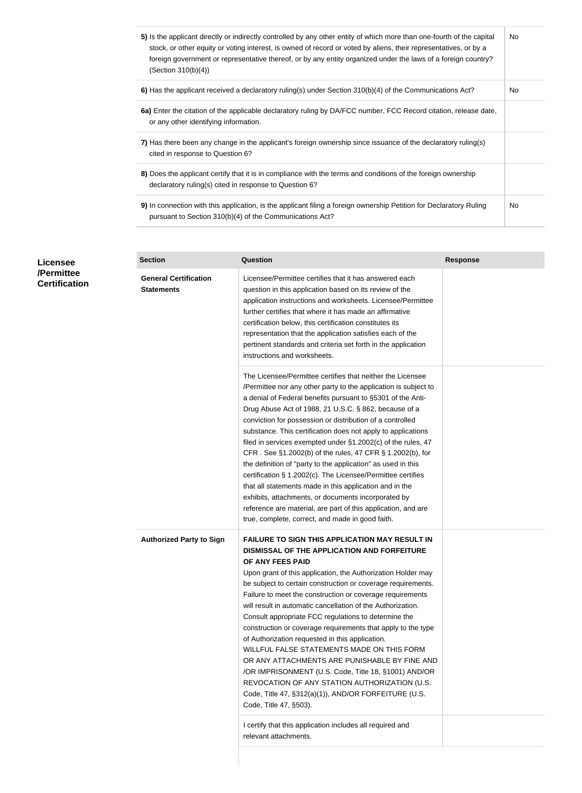| 5) Is the applicant directly or indirectly controlled by any other entity of which more than one-fourth of the capital<br>stock, or other equity or voting interest, is owned of record or voted by aliens, their representatives, or by a<br>foreign government or representative thereof, or by any entity organized under the laws of a foreign country?<br>(Section 310(b)(4)) | No. |
|------------------------------------------------------------------------------------------------------------------------------------------------------------------------------------------------------------------------------------------------------------------------------------------------------------------------------------------------------------------------------------|-----|
| 6) Has the applicant received a declaratory ruling(s) under Section 310(b)(4) of the Communications Act?                                                                                                                                                                                                                                                                           | No. |
| 6a) Enter the citation of the applicable declaratory ruling by DA/FCC number, FCC Record citation, release date,<br>or any other identifying information.                                                                                                                                                                                                                          |     |
| 7) Has there been any change in the applicant's foreign ownership since issuance of the declaratory ruling(s)<br>cited in response to Question 6?                                                                                                                                                                                                                                  |     |
| 8) Does the applicant certify that it is in compliance with the terms and conditions of the foreign ownership<br>declaratory ruling(s) cited in response to Question 6?                                                                                                                                                                                                            |     |
| 9) In connection with this application, is the applicant filing a foreign ownership Petition for Declaratory Ruling<br>pursuant to Section 310(b)(4) of the Communications Act?                                                                                                                                                                                                    | No. |

| <b>Licensee</b><br>/Permittee<br><b>Certification</b> | <b>Section</b>                                    | <b>Question</b>                                                                                                                                                                                                                                                                                                                                                                                                                                                                                                                                                                                                                                                                                                                                                                                                                                                                       | <b>Response</b> |
|-------------------------------------------------------|---------------------------------------------------|---------------------------------------------------------------------------------------------------------------------------------------------------------------------------------------------------------------------------------------------------------------------------------------------------------------------------------------------------------------------------------------------------------------------------------------------------------------------------------------------------------------------------------------------------------------------------------------------------------------------------------------------------------------------------------------------------------------------------------------------------------------------------------------------------------------------------------------------------------------------------------------|-----------------|
|                                                       | <b>General Certification</b><br><b>Statements</b> | Licensee/Permittee certifies that it has answered each<br>question in this application based on its review of the<br>application instructions and worksheets. Licensee/Permittee<br>further certifies that where it has made an affirmative<br>certification below, this certification constitutes its<br>representation that the application satisfies each of the<br>pertinent standards and criteria set forth in the application<br>instructions and worksheets.                                                                                                                                                                                                                                                                                                                                                                                                                  |                 |
|                                                       |                                                   | The Licensee/Permittee certifies that neither the Licensee<br>/Permittee nor any other party to the application is subject to<br>a denial of Federal benefits pursuant to §5301 of the Anti-<br>Drug Abuse Act of 1988, 21 U.S.C. § 862, because of a<br>conviction for possession or distribution of a controlled<br>substance. This certification does not apply to applications<br>filed in services exempted under §1.2002(c) of the rules, 47<br>CFR. See §1.2002(b) of the rules, 47 CFR § 1.2002(b), for<br>the definition of "party to the application" as used in this<br>certification § 1.2002(c). The Licensee/Permittee certifies<br>that all statements made in this application and in the<br>exhibits, attachments, or documents incorporated by<br>reference are material, are part of this application, and are<br>true, complete, correct, and made in good faith. |                 |
|                                                       | <b>Authorized Party to Sign</b>                   | <b>FAILURE TO SIGN THIS APPLICATION MAY RESULT IN</b><br>DISMISSAL OF THE APPLICATION AND FORFEITURE<br>OF ANY FEES PAID<br>Upon grant of this application, the Authorization Holder may<br>be subject to certain construction or coverage requirements.<br>Failure to meet the construction or coverage requirements<br>will result in automatic cancellation of the Authorization.<br>Consult appropriate FCC regulations to determine the<br>construction or coverage requirements that apply to the type<br>of Authorization requested in this application.<br>WILLFUL FALSE STATEMENTS MADE ON THIS FORM<br>OR ANY ATTACHMENTS ARE PUNISHABLE BY FINE AND<br>/OR IMPRISONMENT (U.S. Code, Title 18, §1001) AND/OR<br>REVOCATION OF ANY STATION AUTHORIZATION (U.S.<br>Code, Title 47, §312(a)(1)), AND/OR FORFEITURE (U.S.<br>Code, Title 47, §503).                             |                 |
|                                                       |                                                   | I certify that this application includes all required and<br>relevant attachments.                                                                                                                                                                                                                                                                                                                                                                                                                                                                                                                                                                                                                                                                                                                                                                                                    |                 |
|                                                       |                                                   |                                                                                                                                                                                                                                                                                                                                                                                                                                                                                                                                                                                                                                                                                                                                                                                                                                                                                       |                 |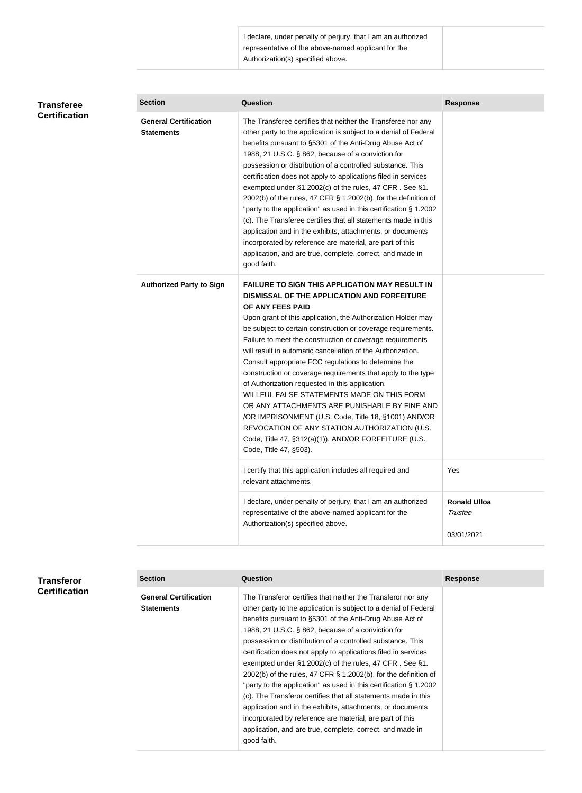I declare, under penalty of perjury, that I am an authorized representative of the above-named applicant for the Authorization(s) specified above.

| Transferee<br><b>Certification</b> | <b>Section</b>                                    | <b>Question</b>                                                                                                                                                                                                                                                                                                                                                                                                                                                                                                                                                                                                                                                                                                                                                                                                                                               | <b>Response</b>                |
|------------------------------------|---------------------------------------------------|---------------------------------------------------------------------------------------------------------------------------------------------------------------------------------------------------------------------------------------------------------------------------------------------------------------------------------------------------------------------------------------------------------------------------------------------------------------------------------------------------------------------------------------------------------------------------------------------------------------------------------------------------------------------------------------------------------------------------------------------------------------------------------------------------------------------------------------------------------------|--------------------------------|
|                                    | <b>General Certification</b><br><b>Statements</b> | The Transferee certifies that neither the Transferee nor any<br>other party to the application is subject to a denial of Federal<br>benefits pursuant to §5301 of the Anti-Drug Abuse Act of<br>1988, 21 U.S.C. § 862, because of a conviction for<br>possession or distribution of a controlled substance. This<br>certification does not apply to applications filed in services<br>exempted under §1.2002(c) of the rules, 47 CFR. See §1.<br>2002(b) of the rules, 47 CFR § 1.2002(b), for the definition of<br>"party to the application" as used in this certification § 1.2002<br>(c). The Transferee certifies that all statements made in this<br>application and in the exhibits, attachments, or documents<br>incorporated by reference are material, are part of this<br>application, and are true, complete, correct, and made in<br>good faith. |                                |
|                                    | <b>Authorized Party to Sign</b>                   | <b>FAILURE TO SIGN THIS APPLICATION MAY RESULT IN</b><br>DISMISSAL OF THE APPLICATION AND FORFEITURE<br>OF ANY FEES PAID<br>Upon grant of this application, the Authorization Holder may<br>be subject to certain construction or coverage requirements.<br>Failure to meet the construction or coverage requirements<br>will result in automatic cancellation of the Authorization.<br>Consult appropriate FCC regulations to determine the<br>construction or coverage requirements that apply to the type<br>of Authorization requested in this application.<br>WILLFUL FALSE STATEMENTS MADE ON THIS FORM<br>OR ANY ATTACHMENTS ARE PUNISHABLE BY FINE AND<br>/OR IMPRISONMENT (U.S. Code, Title 18, §1001) AND/OR<br>REVOCATION OF ANY STATION AUTHORIZATION (U.S.<br>Code, Title 47, §312(a)(1)), AND/OR FORFEITURE (U.S.<br>Code, Title 47, §503).     |                                |
|                                    |                                                   | I certify that this application includes all required and<br>relevant attachments.                                                                                                                                                                                                                                                                                                                                                                                                                                                                                                                                                                                                                                                                                                                                                                            | Yes                            |
|                                    |                                                   | I declare, under penalty of perjury, that I am an authorized<br>representative of the above-named applicant for the<br>Authorization(s) specified above.                                                                                                                                                                                                                                                                                                                                                                                                                                                                                                                                                                                                                                                                                                      | <b>Ronald Ulloa</b><br>Trustee |
|                                    |                                                   |                                                                                                                                                                                                                                                                                                                                                                                                                                                                                                                                                                                                                                                                                                                                                                                                                                                               | 03/01/2021                     |

| Transferor           | <b>Section</b>                                    | Question                                                                                                                                                                                                                                                                                                                                                                                                                                                                                                                                                                                                                                                                                                                                                                                                                                                            | <b>Response</b> |
|----------------------|---------------------------------------------------|---------------------------------------------------------------------------------------------------------------------------------------------------------------------------------------------------------------------------------------------------------------------------------------------------------------------------------------------------------------------------------------------------------------------------------------------------------------------------------------------------------------------------------------------------------------------------------------------------------------------------------------------------------------------------------------------------------------------------------------------------------------------------------------------------------------------------------------------------------------------|-----------------|
| <b>Certification</b> | <b>General Certification</b><br><b>Statements</b> | The Transferor certifies that neither the Transferor nor any<br>other party to the application is subject to a denial of Federal<br>benefits pursuant to §5301 of the Anti-Drug Abuse Act of<br>1988, 21 U.S.C. § 862, because of a conviction for<br>possession or distribution of a controlled substance. This<br>certification does not apply to applications filed in services<br>exempted under $\S1.2002(c)$ of the rules, 47 CFR. See $\S1.$<br>2002(b) of the rules, 47 CFR § 1.2002(b), for the definition of<br>"party to the application" as used in this certification § 1.2002<br>(c). The Transferor certifies that all statements made in this<br>application and in the exhibits, attachments, or documents<br>incorporated by reference are material, are part of this<br>application, and are true, complete, correct, and made in<br>good faith. |                 |